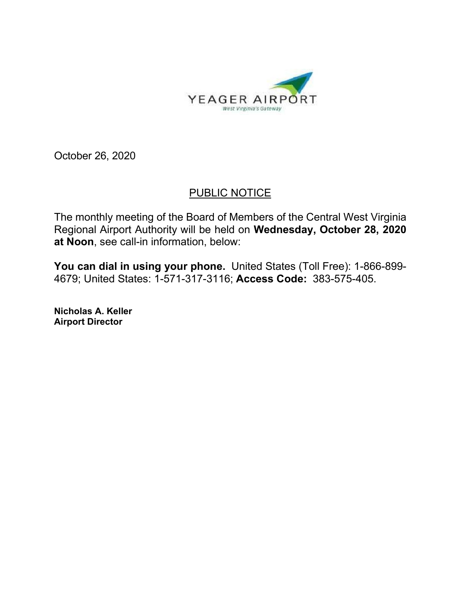

October 26, 2020

## PUBLIC NOTICE

The monthly meeting of the Board of Members of the Central West Virginia Regional Airport Authority will be held on **Wednesday, October 28, 2020 at Noon**, see call-in information, below:

**You can dial in using your phone.** United States (Toll Free): 1-866-899- 4679; United States: 1-571-317-3116; **Access Code:** 383-575-405.

**Nicholas A. Keller Airport Director**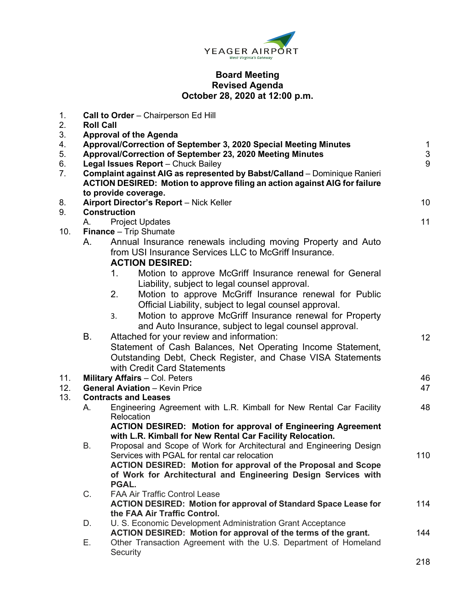

## **Board Meeting Revised Agenda October 28, 2020 at 12:00 p.m.**

| 1.<br>2.                   | <b>Roll Call</b>                                                                                                                                                                                                                                                                                                                                                                        | Call to Order - Chairperson Ed Hill                                                                                                                                                                     |                        |
|----------------------------|-----------------------------------------------------------------------------------------------------------------------------------------------------------------------------------------------------------------------------------------------------------------------------------------------------------------------------------------------------------------------------------------|---------------------------------------------------------------------------------------------------------------------------------------------------------------------------------------------------------|------------------------|
| 3.<br>4.<br>5.<br>6.<br>7. | <b>Approval of the Agenda</b><br>Approval/Correction of September 3, 2020 Special Meeting Minutes<br>Approval/Correction of September 23, 2020 Meeting Minutes<br>Legal Issues Report - Chuck Bailey<br>Complaint against AIG as represented by Babst/Calland - Dominique Ranieri<br>ACTION DESIRED: Motion to approve filing an action against AIG for failure<br>to provide coverage. |                                                                                                                                                                                                         | $\mathbf{1}$<br>3<br>9 |
| 8.                         |                                                                                                                                                                                                                                                                                                                                                                                         | Airport Director's Report - Nick Keller                                                                                                                                                                 | 10                     |
| 9.                         | А.                                                                                                                                                                                                                                                                                                                                                                                      | <b>Construction</b><br><b>Project Updates</b>                                                                                                                                                           | 11                     |
| 10.                        | <b>Finance</b> - Trip Shumate                                                                                                                                                                                                                                                                                                                                                           |                                                                                                                                                                                                         |                        |
|                            | А.                                                                                                                                                                                                                                                                                                                                                                                      | Annual Insurance renewals including moving Property and Auto<br>from USI Insurance Services LLC to McGriff Insurance.<br><b>ACTION DESIRED:</b>                                                         |                        |
|                            |                                                                                                                                                                                                                                                                                                                                                                                         | 1.<br>Motion to approve McGriff Insurance renewal for General<br>Liability, subject to legal counsel approval.                                                                                          |                        |
|                            |                                                                                                                                                                                                                                                                                                                                                                                         | 2.<br>Motion to approve McGriff Insurance renewal for Public<br>Official Liability, subject to legal counsel approval.                                                                                  |                        |
|                            |                                                                                                                                                                                                                                                                                                                                                                                         | Motion to approve McGriff Insurance renewal for Property<br>3.<br>and Auto Insurance, subject to legal counsel approval.                                                                                |                        |
|                            | В.                                                                                                                                                                                                                                                                                                                                                                                      | Attached for your review and information:<br>Statement of Cash Balances, Net Operating Income Statement,<br>Outstanding Debt, Check Register, and Chase VISA Statements<br>with Credit Card Statements  | 12                     |
| 11.<br>12.                 | <b>Military Affairs - Col. Peters</b><br><b>General Aviation - Kevin Price</b>                                                                                                                                                                                                                                                                                                          |                                                                                                                                                                                                         | 46<br>47               |
| 13.                        | <b>Contracts and Leases</b>                                                                                                                                                                                                                                                                                                                                                             |                                                                                                                                                                                                         |                        |
|                            | А.                                                                                                                                                                                                                                                                                                                                                                                      | Engineering Agreement with L.R. Kimball for New Rental Car Facility<br>Relocation                                                                                                                       | 48                     |
|                            | В.                                                                                                                                                                                                                                                                                                                                                                                      | <b>ACTION DESIRED: Motion for approval of Engineering Agreement</b><br>with L.R. Kimball for New Rental Car Facility Relocation.<br>Proposal and Scope of Work for Architectural and Engineering Design |                        |
|                            |                                                                                                                                                                                                                                                                                                                                                                                         | Services with PGAL for rental car relocation<br><b>ACTION DESIRED: Motion for approval of the Proposal and Scope</b><br>of Work for Architectural and Engineering Design Services with<br>PGAL.         | 110                    |
|                            | C.                                                                                                                                                                                                                                                                                                                                                                                      | <b>FAA Air Traffic Control Lease</b><br><b>ACTION DESIRED: Motion for approval of Standard Space Lease for</b><br>the FAA Air Traffic Control.                                                          | 114                    |
|                            | D.                                                                                                                                                                                                                                                                                                                                                                                      | U. S. Economic Development Administration Grant Acceptance<br>ACTION DESIRED: Motion for approval of the terms of the grant.                                                                            | 144                    |
|                            | Е.                                                                                                                                                                                                                                                                                                                                                                                      | Other Transaction Agreement with the U.S. Department of Homeland<br>Security                                                                                                                            |                        |